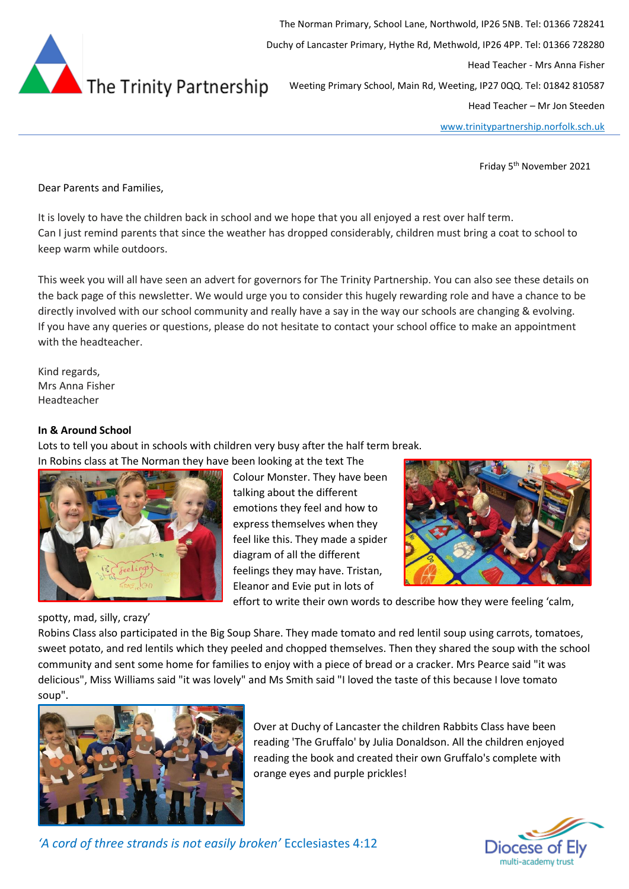

The Norman Primary, School Lane, Northwold, IP26 5NB. Tel: 01366 728241 Duchy of Lancaster Primary, Hythe Rd, Methwold, IP26 4PP. Tel: 01366 728280 Head Teacher - Mrs Anna Fisher Weeting Primary School, Main Rd, Weeting, IP27 0QQ. Tel: 01842 810587 Head Teacher – Mr Jon Steeden

[www.trinitypartnership.norfolk.sch.uk](http://www.trinitypartnership.norfolk.sch.uk/)

Friday 5<sup>th</sup> November 2021

Dear Parents and Families,

It is lovely to have the children back in school and we hope that you all enjoyed a rest over half term. Can I just remind parents that since the weather has dropped considerably, children must bring a coat to school to keep warm while outdoors.

This week you will all have seen an advert for governors for The Trinity Partnership. You can also see these details on the back page of this newsletter. We would urge you to consider this hugely rewarding role and have a chance to be directly involved with our school community and really have a say in the way our schools are changing & evolving. If you have any queries or questions, please do not hesitate to contact your school office to make an appointment with the headteacher.

Kind regards, Mrs Anna Fisher Headteacher

#### **In & Around School**

Lots to tell you about in schools with children very busy after the half term break.



Colour Monster. They have been talking about the different emotions they feel and how to express themselves when they feel like this. They made a spider diagram of all the different feelings they may have. Tristan, Eleanor and Evie put in lots of



effort to write their own words to describe how they were feeling 'calm,

spotty, mad, silly, crazy'

Robins Class also participated in the Big Soup Share. They made tomato and red lentil soup using carrots, tomatoes, sweet potato, and red lentils which they peeled and chopped themselves. Then they shared the soup with the school community and sent some home for families to enjoy with a piece of bread or a cracker. Mrs Pearce said "it was delicious", Miss Williams said "it was lovely" and Ms Smith said "I loved the taste of this because I love tomato soup".



Over at Duchy of Lancaster the children Rabbits Class have been reading 'The Gruffalo' by Julia Donaldson. All the children enjoyed reading the book and created their own Gruffalo's complete with orange eyes and purple prickles!



*'A cord of three strands is not easily broken'* Ecclesiastes 4:12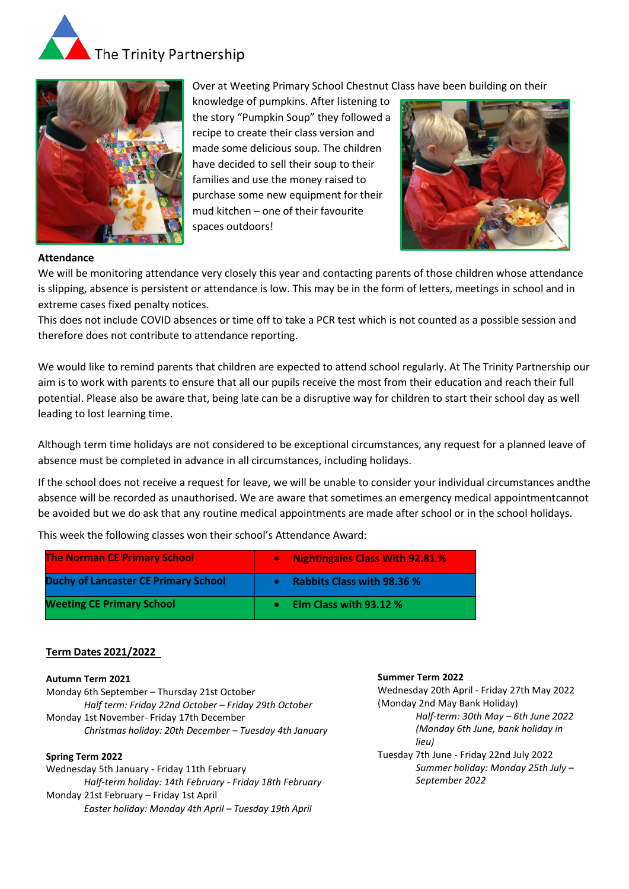



# Over at Weeting Primary School Chestnut Class have been building on their

knowledge of pumpkins. After listening to the story "Pumpkin Soup" they followed a recipe to create their class version and made some delicious soup. The children have decided to sell their soup to their families and use the money raised to purchase some new equipment for their mud kitchen – one of their favourite spaces outdoors!



### **Attendance**

We will be monitoring attendance very closely this year and contacting parents of those children whose attendance is slipping, absence is persistent or attendance is low. This may be in the form of letters, meetings in school and in extreme cases fixed penalty notices.

This does not include COVID absences or time off to take a PCR test which is not counted as a possible session and therefore does not contribute to attendance reporting.

We would like to remind parents that children are expected to attend school regularly. At The Trinity Partnership our aim is to work with parents to ensure that all our pupils receive the most from their education and reach their full potential. Please also be aware that, being late can be a disruptive way for children to start their school day as well leading to lost learning time.

Although term time holidays are not considered to be exceptional circumstances, any request for a planned leave of absence must be completed in advance in all circumstances, including holidays.

If the school does not receive a request for leave, we will be unable to consider your individual circumstances andthe absence will be recorded as unauthorised. We are aware that sometimes an emergency medical appointmentcannot be avoided but we do ask that any routine medical appointments are made after school or in the school holidays.

This week the following classes won their school's Attendance Award:

| <b>The Norman CE Primary School</b>         | Nightingales Class With 92.81 %<br>o |
|---------------------------------------------|--------------------------------------|
| <b>Duchy of Lancaster CE Primary School</b> | <b>Rabbits Class with 98.36 %</b>    |
| <b>Weeting CE Primary School</b>            | Elm Class with 93.12 %               |

## **Term Dates 2021/2022**

#### **Autumn Term 2021**

Monday 6th September – Thursday 21st October *Half term: Friday 22nd October – Friday 29th October* Monday 1st November- Friday 17th December *Christmas holiday: 20th December – Tuesday 4th January*

#### **Spring Term 2022**

Wednesday 5th January - Friday 11th February *Half-term holiday: 14th February - Friday 18th February* Monday 21st February – Friday 1st April *Easter holiday: Monday 4th April – Tuesday 19th April*

#### **Summer Term 2022**

Wednesday 20th April - Friday 27th May 2022 (Monday 2nd May Bank Holiday) *Half-term: 30th May – 6th June 2022 (Monday 6th June, bank holiday in lieu)* Tuesday 7th June - Friday 22nd July 2022 *Summer holiday: Monday 25th July – September 2022*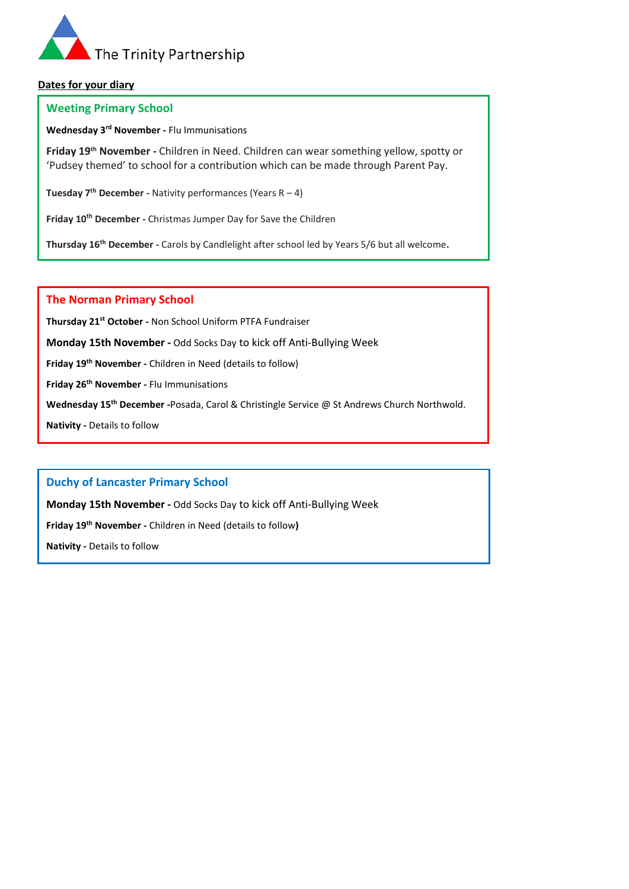

## **Dates for your diary**

### **Weeting Primary School**

**Wednesday 3rd November -** Flu Immunisations

**Friday 19th November -** Children in Need. Children can wear something yellow, spotty or 'Pudsey themed' to school for a contribution which can be made through Parent Pay.

**Tuesday 7th December -** Nativity performances (Years R – 4)

**Friday 10th December -** Christmas Jumper Day for Save the Children

**Thursday 16th December -** Carols by Candlelight after school led by Years 5/6 but all welcome**.**

### **The Norman Primary School**

**Thursday 21st October -** Non School Uniform PTFA Fundraiser

**Monday 15th November -** Odd Socks Day to kick off Anti-Bullying Week

**Friday 19th November -** Children in Need (details to follow)

**Friday 26th November -** Flu Immunisations

**Wednesday 15th December -**Posada, Carol & Christingle Service @ St Andrews Church Northwold.

**Nativity -** Details to follow

# **Duchy of Lancaster Primary School**

**Monday 15th November -** Odd Socks Day to kick off Anti-Bullying Week

**Friday 19th November -** Children in Need (details to follow**)**

**Nativity -** Details to follow